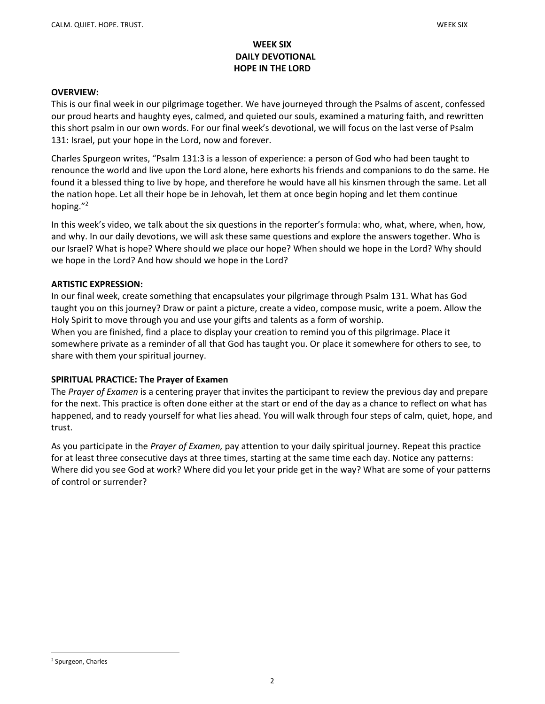# WEEK SIX DAILY DEVOTIONAL HOPE IN THE LORD

#### OVERVIEW:

This is our final week in our pilgrimage together. We have journeyed through the Psalms of ascent, confessed our proud hearts and haughty eyes, calmed, and quieted our souls, examined a maturing faith, and rewritten this short psalm in our own words. For our final week's devotional, we will focus on the last verse of Psalm 131: Israel, put your hope in the Lord, now and forever.

Charles Spurgeon writes, "Psalm 131:3 is a lesson of experience: a person of God who had been taught to renounce the world and live upon the Lord alone, here exhorts his friends and companions to do the same. He found it a blessed thing to live by hope, and therefore he would have all his kinsmen through the same. Let all the nation hope. Let all their hope be in Jehovah, let them at once begin hoping and let them continue hoping."<sup>2</sup>

In this week's video, we talk about the six questions in the reporter's formula: who, what, where, when, how, and why. In our daily devotions, we will ask these same questions and explore the answers together. Who is our Israel? What is hope? Where should we place our hope? When should we hope in the Lord? Why should we hope in the Lord? And how should we hope in the Lord?

## ARTISTIC EXPRESSION:

In our final week, create something that encapsulates your pilgrimage through Psalm 131. What has God taught you on this journey? Draw or paint a picture, create a video, compose music, write a poem. Allow the Holy Spirit to move through you and use your gifts and talents as a form of worship.

When you are finished, find a place to display your creation to remind you of this pilgrimage. Place it somewhere private as a reminder of all that God has taught you. Or place it somewhere for others to see, to share with them your spiritual journey.

#### SPIRITUAL PRACTICE: The Prayer of Examen

The Prayer of Examen is a centering prayer that invites the participant to review the previous day and prepare for the next. This practice is often done either at the start or end of the day as a chance to reflect on what has happened, and to ready yourself for what lies ahead. You will walk through four steps of calm, quiet, hope, and trust.

As you participate in the Prayer of Examen, pay attention to your daily spiritual journey. Repeat this practice for at least three consecutive days at three times, starting at the same time each day. Notice any patterns: Where did you see God at work? Where did you let your pride get in the way? What are some of your patterns of control or surrender?

<sup>2</sup> Spurgeon, Charles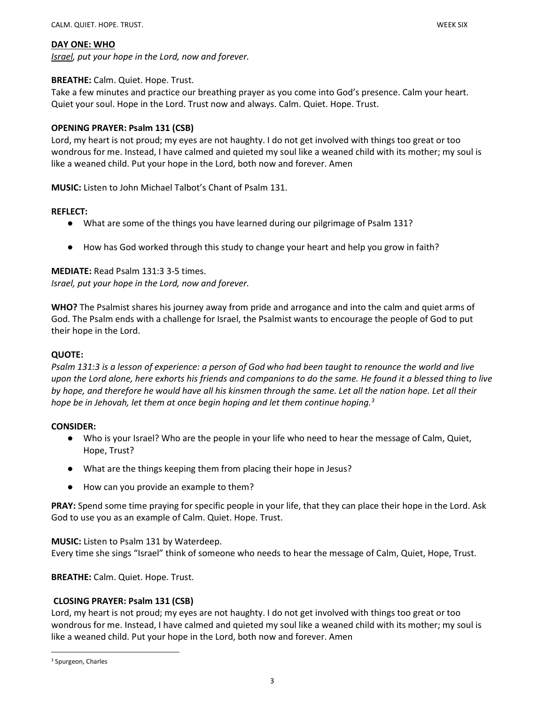#### DAY ONE: WHO

Israel, put your hope in the Lord, now and forever.

## BREATHE: Calm. Quiet. Hope. Trust.

Take a few minutes and practice our breathing prayer as you come into God's presence. Calm your heart. Quiet your soul. Hope in the Lord. Trust now and always. Calm. Quiet. Hope. Trust.

# OPENING PRAYER: Psalm 131 (CSB)

Lord, my heart is not proud; my eyes are not haughty. I do not get involved with things too great or too wondrous for me. Instead, I have calmed and quieted my soul like a weaned child with its mother; my soul is like a weaned child. Put your hope in the Lord, both now and forever. Amen

MUSIC: Listen to John Michael Talbot's Chant of Psalm 131.

## REFLECT:

- What are some of the things you have learned during our pilgrimage of Psalm 131?
- How has God worked through this study to change your heart and help you grow in faith?

# MEDIATE: Read Psalm 131:3 3-5 times. Israel, put your hope in the Lord, now and forever.

WHO? The Psalmist shares his journey away from pride and arrogance and into the calm and quiet arms of God. The Psalm ends with a challenge for Israel, the Psalmist wants to encourage the people of God to put their hope in the Lord.

# QUOTE:

Psalm 131:3 is a lesson of experience: a person of God who had been taught to renounce the world and live upon the Lord alone, here exhorts his friends and companions to do the same. He found it a blessed thing to live by hope, and therefore he would have all his kinsmen through the same. Let all the nation hope. Let all their hope be in Jehovah, let them at once begin hoping and let them continue hoping.<sup>3</sup>

#### CONSIDER:

- Who is your Israel? Who are the people in your life who need to hear the message of Calm, Quiet, Hope, Trust?
- What are the things keeping them from placing their hope in Jesus?
- How can you provide an example to them?

PRAY: Spend some time praying for specific people in your life, that they can place their hope in the Lord. Ask God to use you as an example of Calm. Quiet. Hope. Trust.

#### MUSIC: Listen to Psalm 131 by Waterdeep.

Every time she sings "Israel" think of someone who needs to hear the message of Calm, Quiet, Hope, Trust.

BREATHE: Calm. Quiet. Hope. Trust.

# CLOSING PRAYER: Psalm 131 (CSB)

Lord, my heart is not proud; my eyes are not haughty. I do not get involved with things too great or too wondrous for me. Instead, I have calmed and quieted my soul like a weaned child with its mother; my soul is like a weaned child. Put your hope in the Lord, both now and forever. Amen

<sup>3</sup> Spurgeon, Charles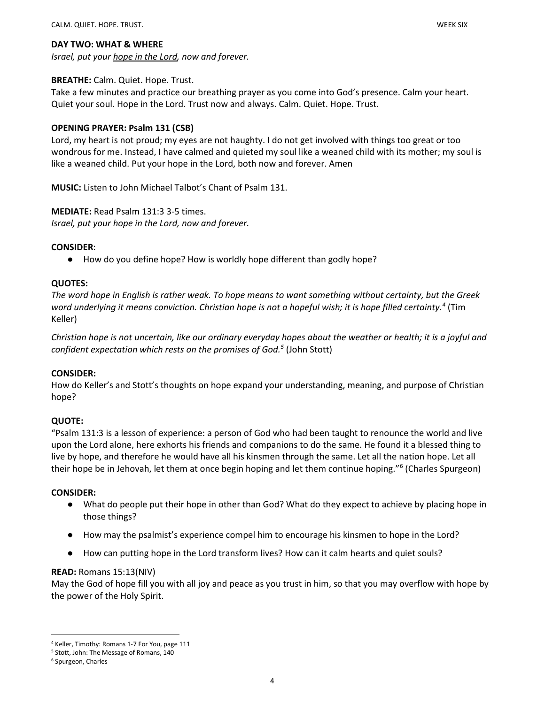#### DAY TWO: WHAT & WHERE

Israel, put your hope in the Lord, now and forever.

# BREATHE: Calm. Quiet. Hope. Trust.

Take a few minutes and practice our breathing prayer as you come into God's presence. Calm your heart. Quiet your soul. Hope in the Lord. Trust now and always. Calm. Quiet. Hope. Trust.

# OPENING PRAYER: Psalm 131 (CSB)

Lord, my heart is not proud; my eyes are not haughty. I do not get involved with things too great or too wondrous for me. Instead, I have calmed and quieted my soul like a weaned child with its mother; my soul is like a weaned child. Put your hope in the Lord, both now and forever. Amen

MUSIC: Listen to John Michael Talbot's Chant of Psalm 131.

## MEDIATE: Read Psalm 131:3 3-5 times.

Israel, put your hope in the Lord, now and forever.

## CONSIDER:

● How do you define hope? How is worldly hope different than godly hope?

## QUOTES:

The word hope in English is rather weak. To hope means to want something without certainty, but the Greek word underlying it means conviction. Christian hope is not a hopeful wish; it is hope filled certainty.<sup>4</sup> (Tim Keller)

Christian hope is not uncertain, like our ordinary everyday hopes about the weather or health; it is a joyful and confident expectation which rests on the promises of God.<sup>5</sup> (John Stott)

#### CONSIDER:

How do Keller's and Stott's thoughts on hope expand your understanding, meaning, and purpose of Christian hope?

# QUOTE:

"Psalm 131:3 is a lesson of experience: a person of God who had been taught to renounce the world and live upon the Lord alone, here exhorts his friends and companions to do the same. He found it a blessed thing to live by hope, and therefore he would have all his kinsmen through the same. Let all the nation hope. Let all their hope be in Jehovah, let them at once begin hoping and let them continue hoping."<sup>6</sup> (Charles Spurgeon)

#### CONSIDER:

- What do people put their hope in other than God? What do they expect to achieve by placing hope in those things?
- How may the psalmist's experience compel him to encourage his kinsmen to hope in the Lord?
- How can putting hope in the Lord transform lives? How can it calm hearts and quiet souls?

#### READ: Romans 15:13(NIV)

May the God of hope fill you with all joy and peace as you trust in him, so that you may overflow with hope by the power of the Holy Spirit.

<sup>4</sup> Keller, Timothy: Romans 1-7 For You, page 111

<sup>5</sup> Stott, John: The Message of Romans, 140

<sup>6</sup> Spurgeon, Charles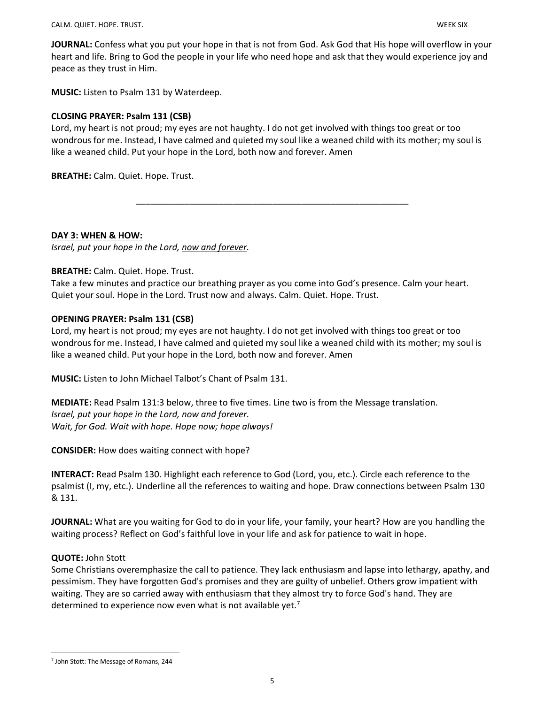JOURNAL: Confess what you put your hope in that is not from God. Ask God that His hope will overflow in your heart and life. Bring to God the people in your life who need hope and ask that they would experience joy and peace as they trust in Him.

MUSIC: Listen to Psalm 131 by Waterdeep.

# CLOSING PRAYER: Psalm 131 (CSB)

Lord, my heart is not proud; my eyes are not haughty. I do not get involved with things too great or too wondrous for me. Instead, I have calmed and quieted my soul like a weaned child with its mother; my soul is like a weaned child. Put your hope in the Lord, both now and forever. Amen

\_\_\_\_\_\_\_\_\_\_\_\_\_\_\_\_\_\_\_\_\_\_\_\_\_\_\_\_\_\_\_\_\_\_\_\_\_\_\_\_\_\_\_\_\_\_\_\_\_\_\_\_\_\_\_\_

BREATHE: Calm. Quiet. Hope. Trust.

DAY 3: WHEN & HOW:

Israel, put your hope in the Lord, now and forever.

# BREATHE: Calm. Quiet. Hope. Trust.

Take a few minutes and practice our breathing prayer as you come into God's presence. Calm your heart. Quiet your soul. Hope in the Lord. Trust now and always. Calm. Quiet. Hope. Trust.

## OPENING PRAYER: Psalm 131 (CSB)

Lord, my heart is not proud; my eyes are not haughty. I do not get involved with things too great or too wondrous for me. Instead, I have calmed and quieted my soul like a weaned child with its mother; my soul is like a weaned child. Put your hope in the Lord, both now and forever. Amen

MUSIC: Listen to John Michael Talbot's Chant of Psalm 131.

MEDIATE: Read Psalm 131:3 below, three to five times. Line two is from the Message translation. Israel, put your hope in the Lord, now and forever. Wait, for God. Wait with hope. Hope now; hope always!

CONSIDER: How does waiting connect with hope?

INTERACT: Read Psalm 130. Highlight each reference to God (Lord, you, etc.). Circle each reference to the psalmist (I, my, etc.). Underline all the references to waiting and hope. Draw connections between Psalm 130 & 131.

JOURNAL: What are you waiting for God to do in your life, your family, your heart? How are you handling the waiting process? Reflect on God's faithful love in your life and ask for patience to wait in hope.

# QUOTE: John Stott

Some Christians overemphasize the call to patience. They lack enthusiasm and lapse into lethargy, apathy, and pessimism. They have forgotten God's promises and they are guilty of unbelief. Others grow impatient with waiting. They are so carried away with enthusiasm that they almost try to force God's hand. They are determined to experience now even what is not available yet.<sup>7</sup>

<sup>7</sup> John Stott: The Message of Romans, 244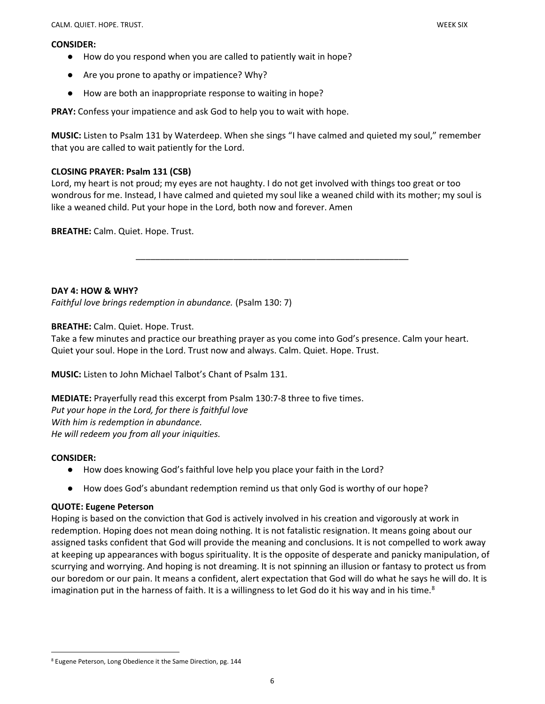#### CONSIDER:

- 
- How do you respond when you are called to patiently wait in hope?
- Are you prone to apathy or impatience? Why?
- How are both an inappropriate response to waiting in hope?

PRAY: Confess your impatience and ask God to help you to wait with hope.

MUSIC: Listen to Psalm 131 by Waterdeep. When she sings "I have calmed and quieted my soul," remember that you are called to wait patiently for the Lord.

# CLOSING PRAYER: Psalm 131 (CSB)

Lord, my heart is not proud; my eyes are not haughty. I do not get involved with things too great or too wondrous for me. Instead, I have calmed and quieted my soul like a weaned child with its mother; my soul is like a weaned child. Put your hope in the Lord, both now and forever. Amen

\_\_\_\_\_\_\_\_\_\_\_\_\_\_\_\_\_\_\_\_\_\_\_\_\_\_\_\_\_\_\_\_\_\_\_\_\_\_\_\_\_\_\_\_\_\_\_\_\_\_\_\_\_\_\_\_

BREATHE: Calm. Quiet. Hope. Trust.

DAY 4: HOW & WHY?

Faithful love brings redemption in abundance. (Psalm 130: 7)

BREATHE: Calm. Quiet. Hope. Trust.

Take a few minutes and practice our breathing prayer as you come into God's presence. Calm your heart. Quiet your soul. Hope in the Lord. Trust now and always. Calm. Quiet. Hope. Trust.

MUSIC: Listen to John Michael Talbot's Chant of Psalm 131.

MEDIATE: Prayerfully read this excerpt from Psalm 130:7-8 three to five times. Put your hope in the Lord, for there is faithful love With him is redemption in abundance. He will redeem you from all your iniquities.

#### CONSIDER:

- How does knowing God's faithful love help you place your faith in the Lord?
- How does God's abundant redemption remind us that only God is worthy of our hope?

#### QUOTE: Eugene Peterson

Hoping is based on the conviction that God is actively involved in his creation and vigorously at work in redemption. Hoping does not mean doing nothing. It is not fatalistic resignation. It means going about our assigned tasks confident that God will provide the meaning and conclusions. It is not compelled to work away at keeping up appearances with bogus spirituality. It is the opposite of desperate and panicky manipulation, of scurrying and worrying. And hoping is not dreaming. It is not spinning an illusion or fantasy to protect us from our boredom or our pain. It means a confident, alert expectation that God will do what he says he will do. It is imagination put in the harness of faith. It is a willingness to let God do it his way and in his time.<sup>8</sup>

<sup>8</sup> Eugene Peterson, Long Obedience it the Same Direction, pg. 144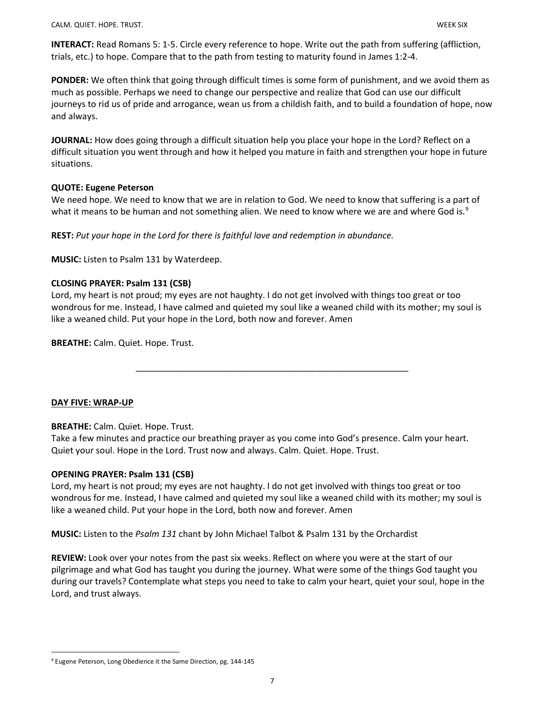INTERACT: Read Romans 5: 1-5. Circle every reference to hope. Write out the path from suffering (affliction, trials, etc.) to hope. Compare that to the path from testing to maturity found in James 1:2-4.

PONDER: We often think that going through difficult times is some form of punishment, and we avoid them as much as possible. Perhaps we need to change our perspective and realize that God can use our difficult journeys to rid us of pride and arrogance, wean us from a childish faith, and to build a foundation of hope, now and always.

JOURNAL: How does going through a difficult situation help you place your hope in the Lord? Reflect on a difficult situation you went through and how it helped you mature in faith and strengthen your hope in future situations.

## QUOTE: Eugene Peterson

We need hope. We need to know that we are in relation to God. We need to know that suffering is a part of what it means to be human and not something alien. We need to know where we are and where God is.<sup>9</sup>

REST: Put your hope in the Lord for there is faithful love and redemption in abundance.

MUSIC: Listen to Psalm 131 by Waterdeep.

# CLOSING PRAYER: Psalm 131 (CSB)

Lord, my heart is not proud; my eyes are not haughty. I do not get involved with things too great or too wondrous for me. Instead, I have calmed and quieted my soul like a weaned child with its mother; my soul is like a weaned child. Put your hope in the Lord, both now and forever. Amen

\_\_\_\_\_\_\_\_\_\_\_\_\_\_\_\_\_\_\_\_\_\_\_\_\_\_\_\_\_\_\_\_\_\_\_\_\_\_\_\_\_\_\_\_\_\_\_\_\_\_\_\_\_\_\_\_

BREATHE: Calm. Quiet. Hope. Trust.

#### DAY FIVE: WRAP-UP

#### BREATHE: Calm. Quiet. Hope. Trust.

Take a few minutes and practice our breathing prayer as you come into God's presence. Calm your heart. Quiet your soul. Hope in the Lord. Trust now and always. Calm. Quiet. Hope. Trust.

#### OPENING PRAYER: Psalm 131 (CSB)

Lord, my heart is not proud; my eyes are not haughty. I do not get involved with things too great or too wondrous for me. Instead, I have calmed and quieted my soul like a weaned child with its mother; my soul is like a weaned child. Put your hope in the Lord, both now and forever. Amen

**MUSIC:** Listen to the *Psalm 131* chant by John Michael Talbot & Psalm 131 by the Orchardist

REVIEW: Look over your notes from the past six weeks. Reflect on where you were at the start of our pilgrimage and what God has taught you during the journey. What were some of the things God taught you during our travels? Contemplate what steps you need to take to calm your heart, quiet your soul, hope in the Lord, and trust always.

<sup>&</sup>lt;sup>9</sup> Eugene Peterson, Long Obedience it the Same Direction, pg. 144-145